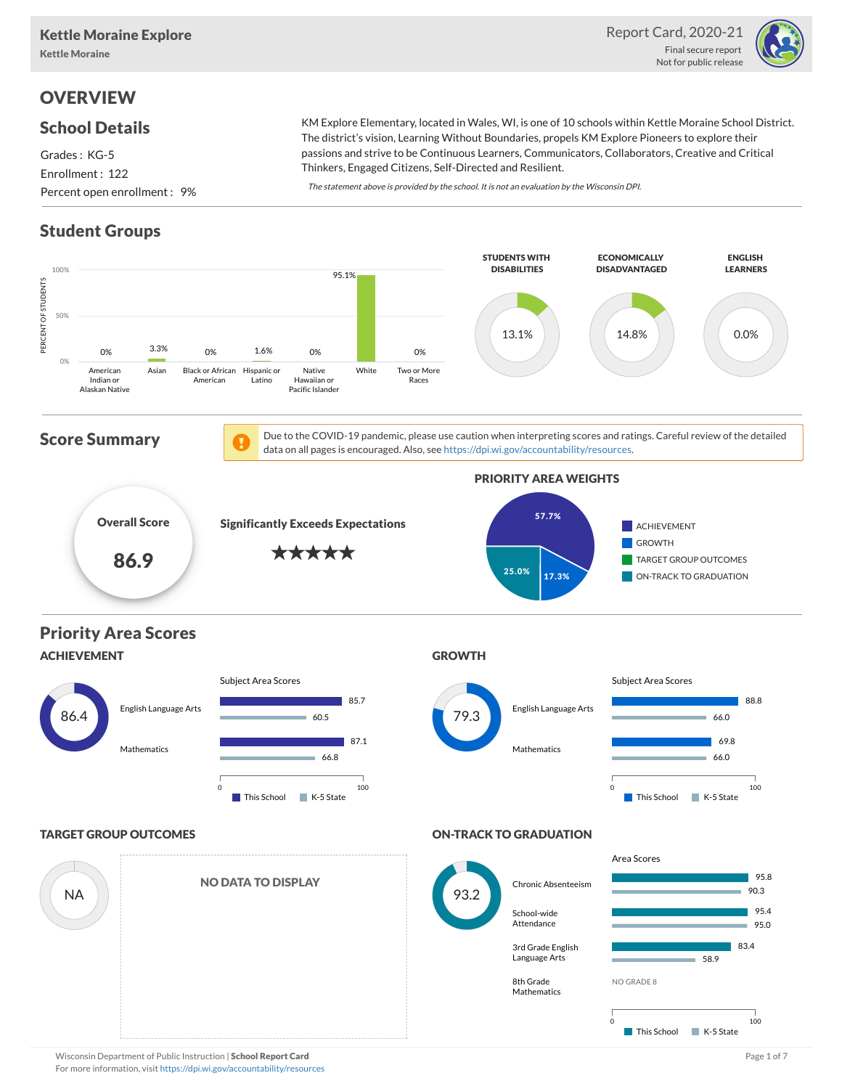

# **OVERVIEW**

### School Details

Grades : KG-5 Enrollment : 122 Percent open enrollment : 9%

KM Explore Elementary, located in Wales, WI, is one of 10 schools within Kettle Moraine School District. The district's vision, Learning Without Boundaries, propels KM Explore Pioneers to explore their passions and strive to be Continuous Learners, Communicators, Collaborators, Creative and Critical Thinkers, Engaged Citizens, Self-Directed and Resilient.

The statement above is provided by the school. It is not an evaluation by the Wisconsin DPI.

# Student Groups

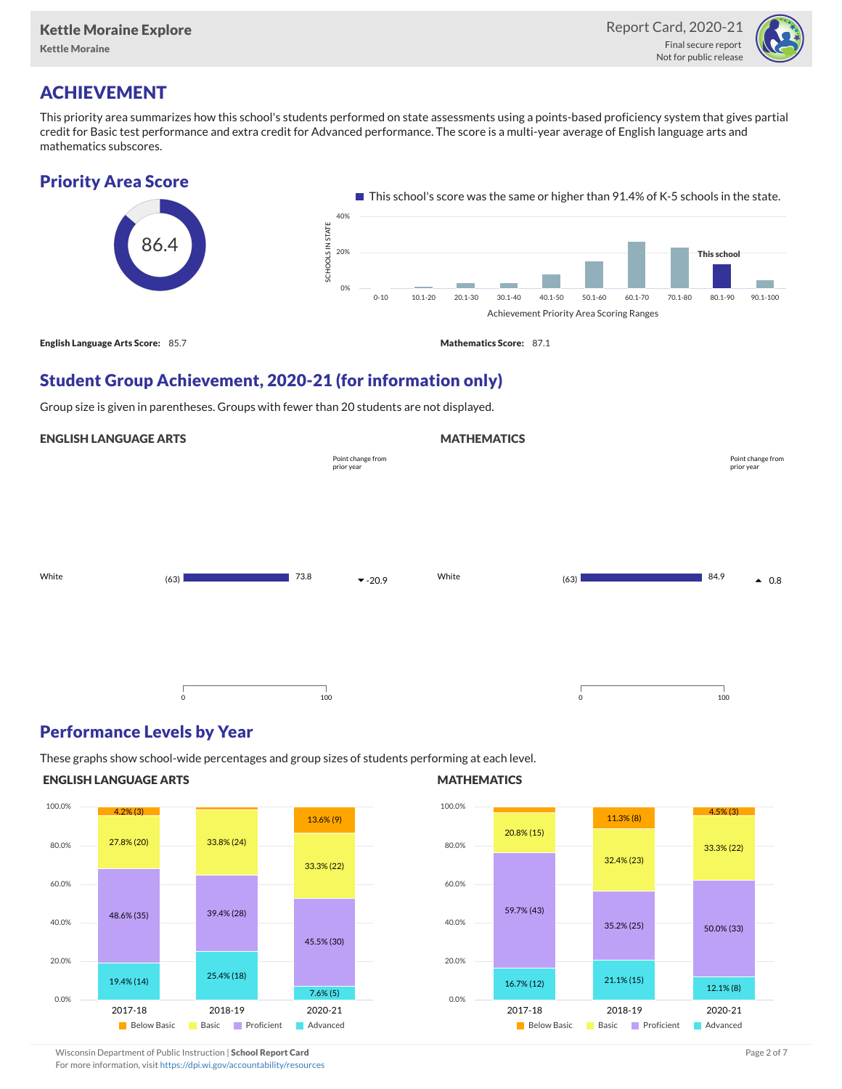Kettle Moraine



# ACHIEVEMENT

This priority area summarizes how this school's students performed on state assessments using a points-based proficiency system that gives partial credit for Basic test performance and extra credit for Advanced performance. The score is a multi-year average of English language arts and mathematics subscores.

### Priority Area Score



### Student Group Achievement, 2020-21 (for information only)

Group size is given in parentheses. Groups with fewer than 20 students are not displayed.

#### ENGLISH LANGUAGE ARTS

|       |             | Point change from<br>prior year | Point change from<br>prior year |       |         |                         |
|-------|-------------|---------------------------------|---------------------------------|-------|---------|-------------------------|
| White | (63)        | 73.8                            | $-20.9$                         | White | (63)    | 84.9<br>$\triangle$ 0.8 |
|       | $\mathsf 0$ | 100                             |                                 |       | $\circ$ | 100                     |

### Performance Levels by Year

These graphs show school-wide percentages and group sizes of students performing at each level.

#### ENGLISH LANGUAGE ARTS



#### **MATHEMATICS**

**MATHEMATICS** 



Wisconsin Department of Public Instruction | School Report Card Page 2 of 7 and 2008 and 2009 and 2 of 7 and 2 of 7

For more information, visit <https://dpi.wi.gov/accountability/resources>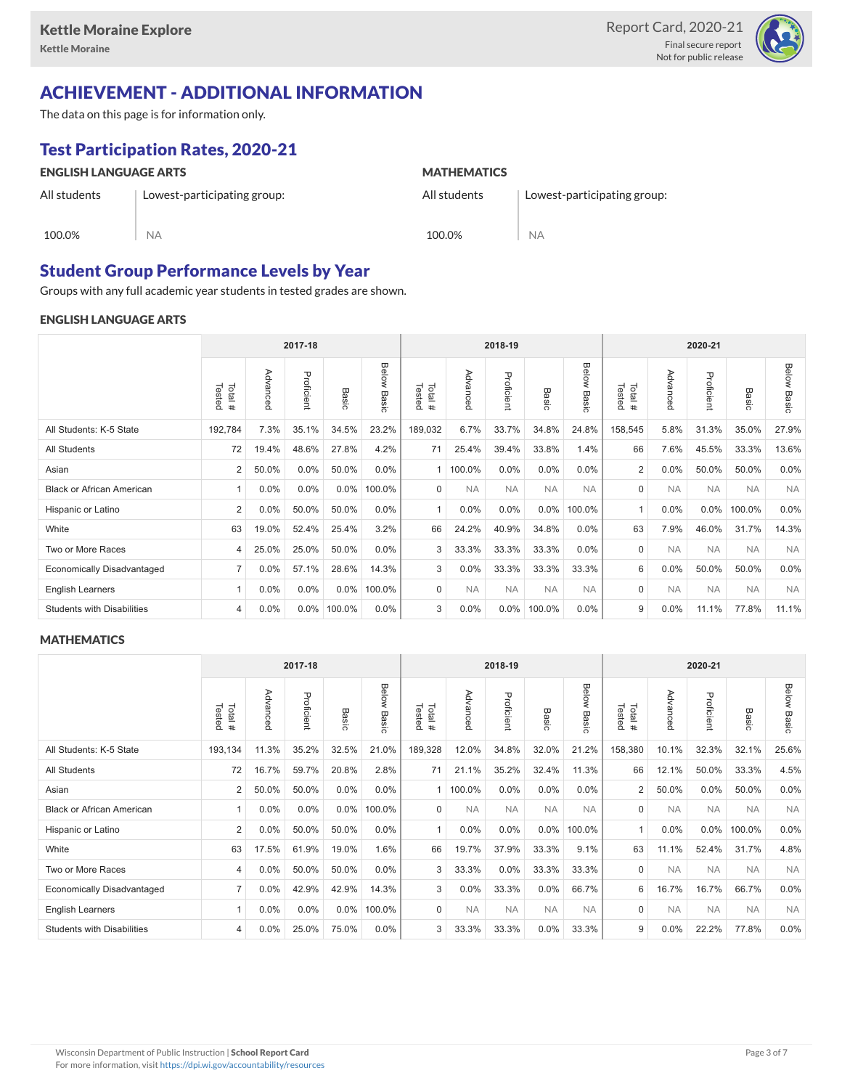

### ACHIEVEMENT - ADDITIONAL INFORMATION

The data on this page is for information only.

NA

## Test Participation Rates, 2020-21

#### ENGLISH LANGUAGE ARTS

All students

100.0%

**MATHEMATICS** 

All students

Lowest-participating group:

100.0%

NA

### Student Group Performance Levels by Year

Lowest-participating group:

Groups with any full academic year students in tested grades are shown.

#### ENGLISH LANGUAGE ARTS

|                                   | 2017-18          |          |            |              |                | 2018-19           |           |            |           | 2020-21        |                  |           |            |           |                |
|-----------------------------------|------------------|----------|------------|--------------|----------------|-------------------|-----------|------------|-----------|----------------|------------------|-----------|------------|-----------|----------------|
|                                   | Tested<br>Total# | Advanced | Proficient | <b>Basic</b> | Below<br>Basic | Total #<br>Tested | Advanced  | Proficient | Basic     | Below<br>Basic | Tested<br>Total# | Advancec  | Proficient | Basic     | Below<br>Basic |
| All Students: K-5 State           | 192,784          | 7.3%     | 35.1%      | 34.5%        | 23.2%          | 189,032           | 6.7%      | 33.7%      | 34.8%     | 24.8%          | 158,545          | 5.8%      | 31.3%      | 35.0%     | 27.9%          |
| <b>All Students</b>               | 72               | 19.4%    | 48.6%      | 27.8%        | 4.2%           | 71                | 25.4%     | 39.4%      | 33.8%     | 1.4%           | 66               | 7.6%      | 45.5%      | 33.3%     | 13.6%          |
| Asian                             | 2                | 50.0%    | 0.0%       | 50.0%        | 0.0%           |                   | 100.0%    | $0.0\%$    | 0.0%      | 0.0%           | $\overline{2}$   | $0.0\%$   | 50.0%      | 50.0%     | 0.0%           |
| <b>Black or African American</b>  | 1                | 0.0%     | 0.0%       | $0.0\%$      | 100.0%         | $\mathbf 0$       | <b>NA</b> | <b>NA</b>  | <b>NA</b> | <b>NA</b>      | 0                | <b>NA</b> | <b>NA</b>  | <b>NA</b> | <b>NA</b>      |
| Hispanic or Latino                | $\overline{2}$   | 0.0%     | 50.0%      | 50.0%        | 0.0%           |                   | 0.0%      | 0.0%       | 0.0%      | 100.0%         | $\overline{1}$   | 0.0%      | $0.0\%$    | 100.0%    | 0.0%           |
| White                             | 63               | 19.0%    | 52.4%      | 25.4%        | 3.2%           | 66                | 24.2%     | 40.9%      | 34.8%     | $0.0\%$        | 63               | 7.9%      | 46.0%      | 31.7%     | 14.3%          |
| Two or More Races                 | 4                | 25.0%    | 25.0%      | 50.0%        | $0.0\%$        | 3                 | 33.3%     | 33.3%      | 33.3%     | $0.0\%$        | $\mathbf 0$      | <b>NA</b> | <b>NA</b>  | <b>NA</b> | <b>NA</b>      |
| <b>Economically Disadvantaged</b> | $\overline{7}$   | 0.0%     | 57.1%      | 28.6%        | 14.3%          | 3                 | 0.0%      | 33.3%      | 33.3%     | 33.3%          | 6                | $0.0\%$   | 50.0%      | 50.0%     | 0.0%           |
| English Learners                  | $\overline{1}$   | 0.0%     | 0.0%       | 0.0%         | 100.0%         | 0                 | <b>NA</b> | <b>NA</b>  | <b>NA</b> | <b>NA</b>      | 0                | <b>NA</b> | <b>NA</b>  | <b>NA</b> | <b>NA</b>      |
| <b>Students with Disabilities</b> | 4                | 0.0%     | $0.0\%$    | 100.0%       | $0.0\%$        | 3                 | 0.0%      | $0.0\%$    | 100.0%    | $0.0\%$        | 9                | 0.0%      | 11.1%      | 77.8%     | 11.1%          |

#### **MATHEMATICS**

|                                   | 2017-18          |          |            |         |                | 2018-19          |           |            |           | 2020-21        |                  |           |            |           |                    |
|-----------------------------------|------------------|----------|------------|---------|----------------|------------------|-----------|------------|-----------|----------------|------------------|-----------|------------|-----------|--------------------|
|                                   | Total#<br>Tested | Advanced | Proficient | Basic   | Below<br>Basic | Tested<br>Total# | Advancec  | Proficient | Basic     | Below<br>Basic | Tested<br>Total# | Advanced  | Proficient | Basic     | <b>Below Basic</b> |
| All Students: K-5 State           | 193,134          | 11.3%    | 35.2%      | 32.5%   | 21.0%          | 189,328          | 12.0%     | 34.8%      | 32.0%     | 21.2%          | 158,380          | 10.1%     | 32.3%      | 32.1%     | 25.6%              |
| <b>All Students</b>               | 72               | 16.7%    | 59.7%      | 20.8%   | 2.8%           | 71               | 21.1%     | 35.2%      | 32.4%     | 11.3%          | 66               | 12.1%     | 50.0%      | 33.3%     | 4.5%               |
| Asian                             | $\overline{2}$   | 50.0%    | 50.0%      | 0.0%    | 0.0%           |                  | 100.0%    | 0.0%       | 0.0%      | 0.0%           | 2                | 50.0%     | 0.0%       | 50.0%     | 0.0%               |
| <b>Black or African American</b>  | 1                | $0.0\%$  | 0.0%       | $0.0\%$ | 100.0%         | $\Omega$         | <b>NA</b> | <b>NA</b>  | <b>NA</b> | <b>NA</b>      | $\mathbf 0$      | <b>NA</b> | <b>NA</b>  | <b>NA</b> | <b>NA</b>          |
| Hispanic or Latino                | $\overline{2}$   | 0.0%     | 50.0%      | 50.0%   | 0.0%           |                  | 0.0%      | 0.0%       | 0.0%      | 100.0%         | 1                | 0.0%      | 0.0%       | 100.0%    | 0.0%               |
| White                             | 63               | 17.5%    | 61.9%      | 19.0%   | 1.6%           | 66               | 19.7%     | 37.9%      | 33.3%     | 9.1%           | 63               | 11.1%     | 52.4%      | 31.7%     | 4.8%               |
| Two or More Races                 | 4                | $0.0\%$  | 50.0%      | 50.0%   | $0.0\%$        | 3                | 33.3%     | $0.0\%$    | 33.3%     | 33.3%          | $\mathbf 0$      | <b>NA</b> | <b>NA</b>  | <b>NA</b> | <b>NA</b>          |
| <b>Economically Disadvantaged</b> | $\overline{7}$   | $0.0\%$  | 42.9%      | 42.9%   | 14.3%          | 3                | 0.0%      | 33.3%      | 0.0%      | 66.7%          | 6                | 16.7%     | 16.7%      | 66.7%     | 0.0%               |
| <b>English Learners</b>           | $\overline{1}$   | 0.0%     | 0.0%       | 0.0%    | 100.0%         | $\mathbf 0$      | <b>NA</b> | <b>NA</b>  | <b>NA</b> | <b>NA</b>      | $\mathbf 0$      | <b>NA</b> | <b>NA</b>  | <b>NA</b> | <b>NA</b>          |
| <b>Students with Disabilities</b> | 4                | $0.0\%$  | 25.0%      | 75.0%   | 0.0%           | 3                | 33.3%     | 33.3%      | 0.0%      | 33.3%          | 9                | 0.0%      | 22.2%      | 77.8%     | 0.0%               |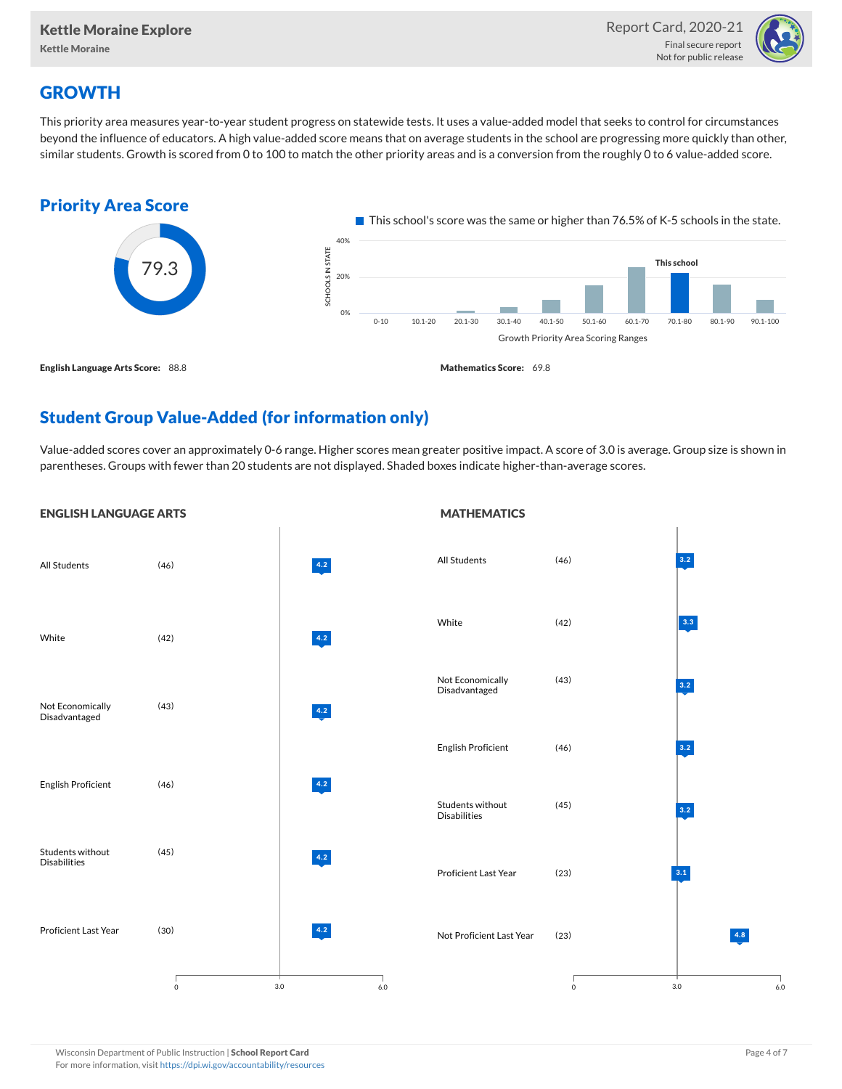

# **GROWTH**

This priority area measures year-to-year student progress on statewide tests. It uses a value-added model that seeks to control for circumstances beyond the influence of educators. A high value-added score means that on average students in the school are progressing more quickly than other, similar students. Growth is scored from 0 to 100 to match the other priority areas and is a conversion from the roughly 0 to 6 value-added score.



# Student Group Value-Added (for information only)

Value-added scores cover an approximately 0-6 range. Higher scores mean greater positive impact. A score of 3.0 is average. Group size is shown in parentheses. Groups with fewer than 20 students are not displayed. Shaded boxes indicate higher-than-average scores.

**MATHEMATICS** 



#### ENGLISH LANGUAGE ARTS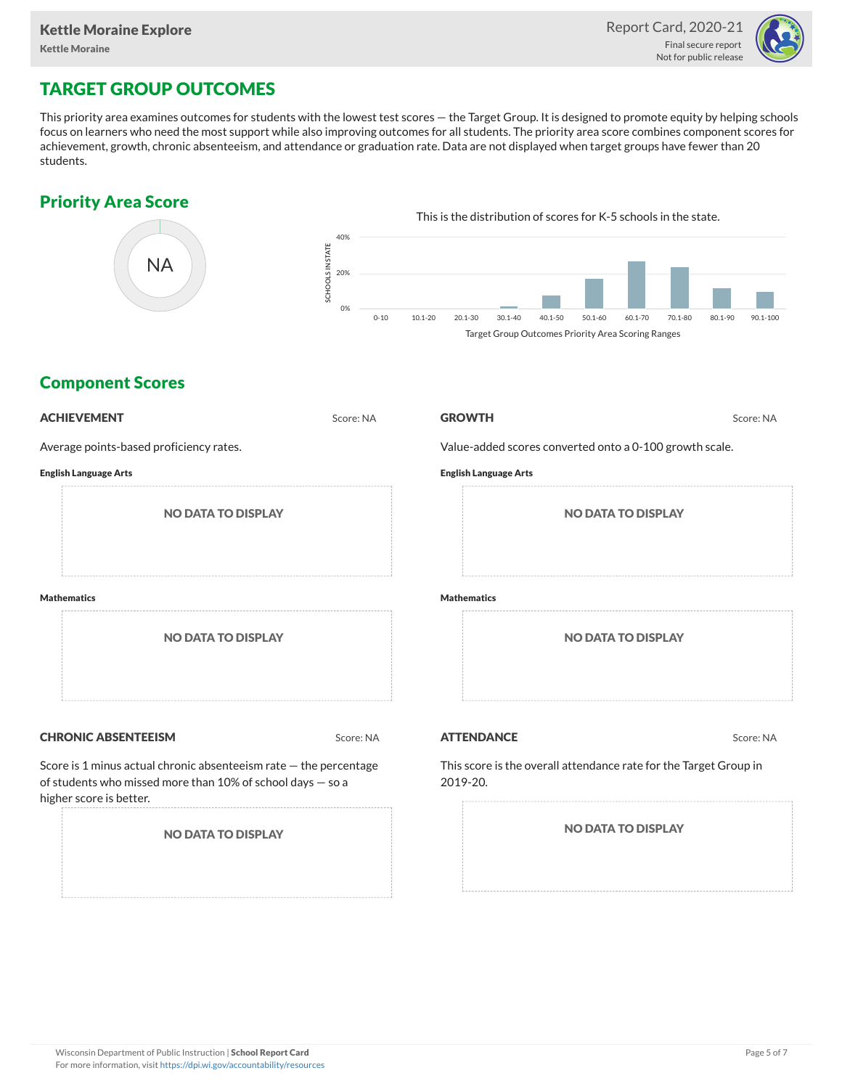

# TARGET GROUP OUTCOMES

This priority area examines outcomes for students with the lowest test scores — the Target Group. It is designed to promote equity by helping schools focus on learners who need the most support while also improving outcomes for all students. The priority area score combines component scores for achievement, growth, chronic absenteeism, and attendance or graduation rate. Data are not displayed when target groups have fewer than 20 students.

## Priority Area Score



### Component Scores

| <b>ACHIEVEMENT</b>                                                                                                                                         | Score: NA | <b>GROWTH</b>                                           | Score: NA                                                         |
|------------------------------------------------------------------------------------------------------------------------------------------------------------|-----------|---------------------------------------------------------|-------------------------------------------------------------------|
| Average points-based proficiency rates.                                                                                                                    |           | Value-added scores converted onto a 0-100 growth scale. |                                                                   |
| <b>English Language Arts</b>                                                                                                                               |           | <b>English Language Arts</b>                            |                                                                   |
| <b>NO DATA TO DISPLAY</b>                                                                                                                                  |           |                                                         | <b>NO DATA TO DISPLAY</b>                                         |
| <b>Mathematics</b>                                                                                                                                         |           | <b>Mathematics</b>                                      |                                                                   |
| <b>NO DATA TO DISPLAY</b>                                                                                                                                  |           |                                                         | <b>NO DATA TO DISPLAY</b>                                         |
| <b>CHRONIC ABSENTEEISM</b>                                                                                                                                 | Score: NA | <b>ATTENDANCE</b>                                       | Score: NA                                                         |
| Score is 1 minus actual chronic absenteeism rate - the percentage<br>of students who missed more than 10% of school days - so a<br>higher score is better. |           | 2019-20.                                                | This score is the overall attendance rate for the Target Group in |
| <b>NO DATA TO DISPLAY</b>                                                                                                                                  |           |                                                         | <b>NO DATA TO DISPLAY</b>                                         |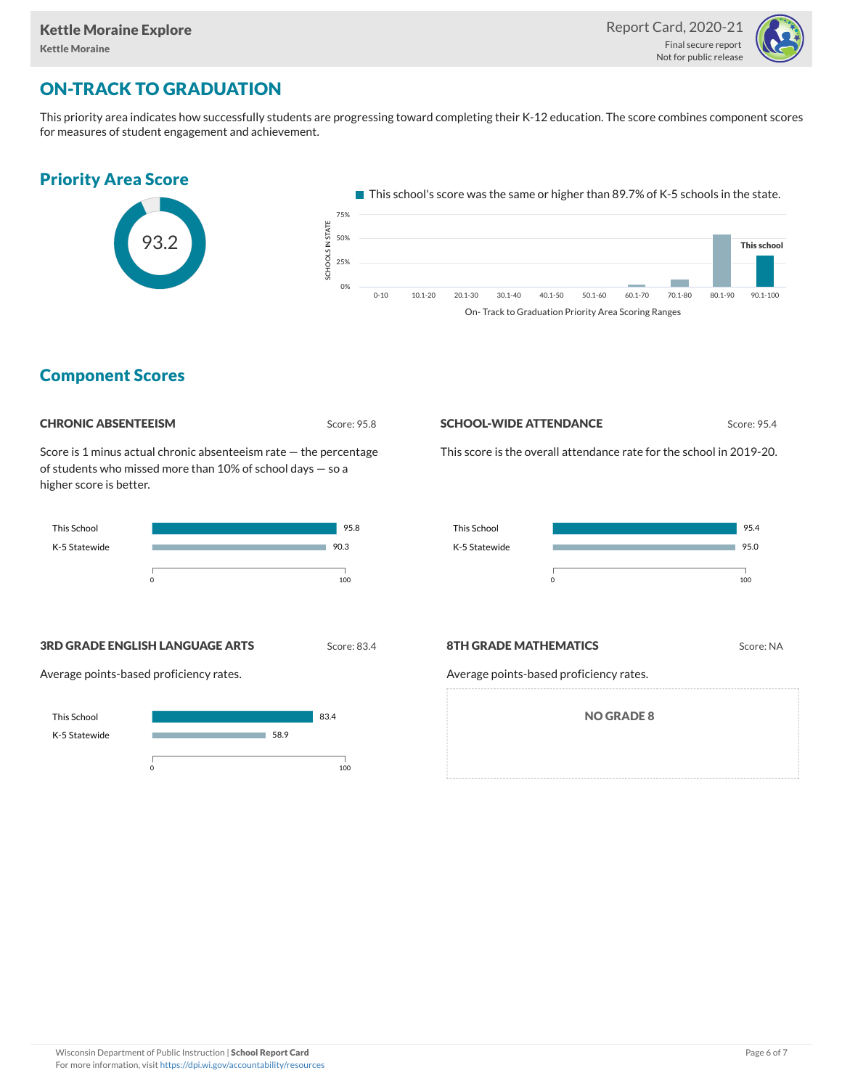

# ON-TRACK TO GRADUATION

This priority area indicates how successfully students are progressing toward completing their K-12 education. The score combines component scores for measures of student engagement and achievement.





This school's score was the same or higher than 89.7% of K-5 schools in the state.



### Component Scores

| <b>CHRONIC ABSENTEEISM</b> |
|----------------------------|
|                            |

Score: 95.8

Score is 1 minus actual chronic absenteeism rate — the percentage of students who missed more than 10% of school days — so a higher score is better.



#### **SCHOOL-WIDE ATTENDANCE** Score: 95.4

This score is the overall attendance rate for the school in 2019-20.



**3RD GRADE ENGLISH LANGUAGE ARTS** Score: 83.4

Average points-based proficiency rates.



#### **8TH GRADE MATHEMATICS** Score: NA

Average points-based proficiency rates.

NO GRADE 8